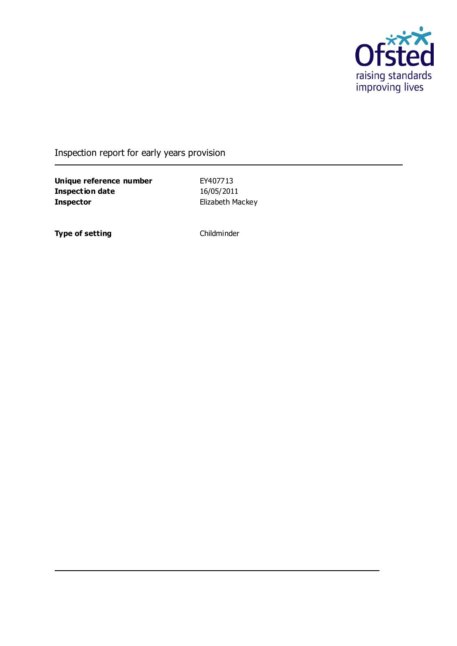

Inspection report for early years provision

**Unique reference number** EY407713<br> **Inspection date** 16/05/2011 **Inspection date Inspector** Elizabeth Mackey

**Type of setting** Childminder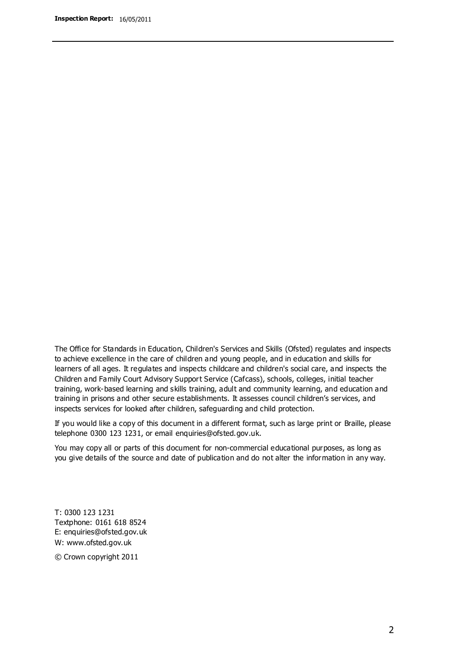The Office for Standards in Education, Children's Services and Skills (Ofsted) regulates and inspects to achieve excellence in the care of children and young people, and in education and skills for learners of all ages. It regulates and inspects childcare and children's social care, and inspects the Children and Family Court Advisory Support Service (Cafcass), schools, colleges, initial teacher training, work-based learning and skills training, adult and community learning, and education and training in prisons and other secure establishments. It assesses council children's services, and inspects services for looked after children, safeguarding and child protection.

If you would like a copy of this document in a different format, such as large print or Braille, please telephone 0300 123 1231, or email enquiries@ofsted.gov.uk.

You may copy all or parts of this document for non-commercial educational purposes, as long as you give details of the source and date of publication and do not alter the information in any way.

T: 0300 123 1231 Textphone: 0161 618 8524 E: enquiries@ofsted.gov.uk W: [www.ofsted.gov.uk](http://www.ofsted.gov.uk/)

© Crown copyright 2011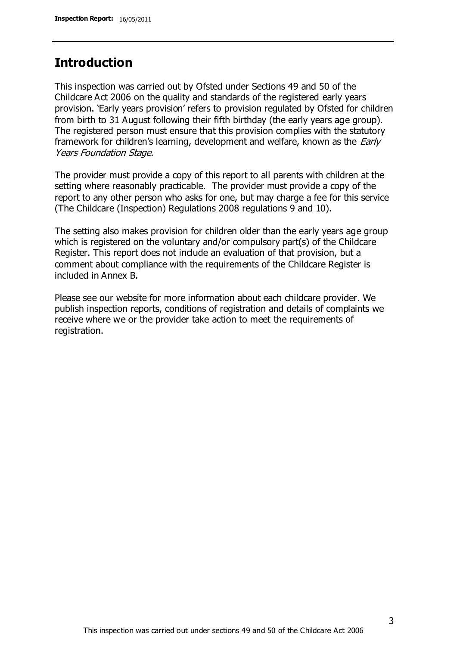## **Introduction**

This inspection was carried out by Ofsted under Sections 49 and 50 of the Childcare Act 2006 on the quality and standards of the registered early years provision. 'Early years provision' refers to provision regulated by Ofsted for children from birth to 31 August following their fifth birthday (the early years age group). The registered person must ensure that this provision complies with the statutory framework for children's learning, development and welfare, known as the *Early* Years Foundation Stage.

The provider must provide a copy of this report to all parents with children at the setting where reasonably practicable. The provider must provide a copy of the report to any other person who asks for one, but may charge a fee for this service (The Childcare (Inspection) Regulations 2008 regulations 9 and 10).

The setting also makes provision for children older than the early years age group which is registered on the voluntary and/or compulsory part(s) of the Childcare Register. This report does not include an evaluation of that provision, but a comment about compliance with the requirements of the Childcare Register is included in Annex B.

Please see our website for more information about each childcare provider. We publish inspection reports, conditions of registration and details of complaints we receive where we or the provider take action to meet the requirements of registration.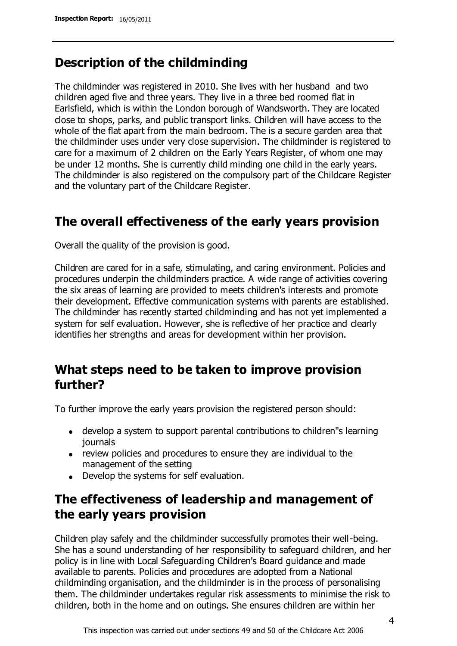# **Description of the childminding**

The childminder was registered in 2010. She lives with her husband and two children aged five and three years. They live in a three bed roomed flat in Earlsfield, which is within the London borough of Wandsworth. They are located close to shops, parks, and public transport links. Children will have access to the whole of the flat apart from the main bedroom. The is a secure garden area that the childminder uses under very close supervision. The childminder is registered to care for a maximum of 2 children on the Early Years Register, of whom one may be under 12 months. She is currently child minding one child in the early years. The childminder is also registered on the compulsory part of the Childcare Register and the voluntary part of the Childcare Register.

## **The overall effectiveness of the early years provision**

Overall the quality of the provision is good.

Children are cared for in a safe, stimulating, and caring environment. Policies and procedures underpin the childminders practice. A wide range of activities covering the six areas of learning are provided to meets children's interests and promote their development. Effective communication systems with parents are established. The childminder has recently started childminding and has not yet implemented a system for self evaluation. However, she is reflective of her practice and clearly identifies her strengths and areas for development within her provision.

# **What steps need to be taken to improve provision further?**

To further improve the early years provision the registered person should:

- develop a system to support parental contributions to children''s learning journals
- review policies and procedures to ensure they are individual to the management of the setting
- Develop the systems for self evaluation.

# **The effectiveness of leadership and management of the early years provision**

Children play safely and the childminder successfully promotes their well-being. She has a sound understanding of her responsibility to safeguard children, and her policy is in line with Local Safeguarding Children's Board guidance and made available to parents. Policies and procedures are adopted from a National childminding organisation, and the childminder is in the process of personalising them. The childminder undertakes regular risk assessments to minimise the risk to children, both in the home and on outings. She ensures children are within her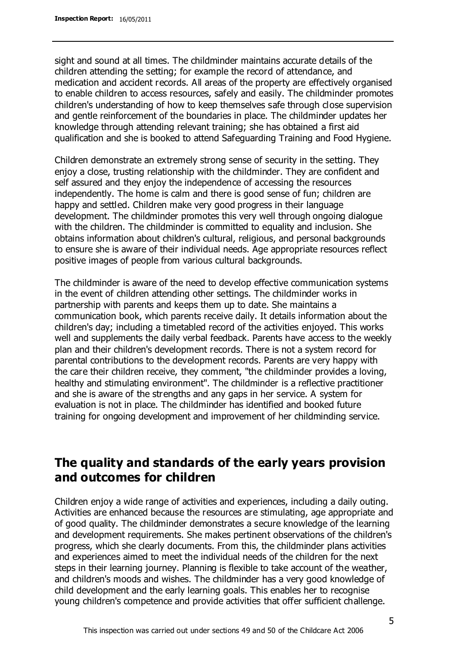sight and sound at all times. The childminder maintains accurate details of the children attending the setting; for example the record of attendance, and medication and accident records. All areas of the property are effectively organised to enable children to access resources, safely and easily. The childminder promotes children's understanding of how to keep themselves safe through close supervision and gentle reinforcement of the boundaries in place. The childminder updates her knowledge through attending relevant training; she has obtained a first aid qualification and she is booked to attend Safeguarding Training and Food Hygiene.

Children demonstrate an extremely strong sense of security in the setting. They enjoy a close, trusting relationship with the childminder. They are confident and self assured and they enjoy the independence of accessing the resources independently. The home is calm and there is good sense of fun; children are happy and settled. Children make very good progress in their language development. The childminder promotes this very well through ongoing dialogue with the children. The childminder is committed to equality and inclusion. She obtains information about children's cultural, religious, and personal backgrounds to ensure she is aware of their individual needs. Age appropriate resources reflect positive images of people from various cultural backgrounds.

The childminder is aware of the need to develop effective communication systems in the event of children attending other settings. The childminder works in partnership with parents and keeps them up to date. She maintains a communication book, which parents receive daily. It details information about the children's day; including a timetabled record of the activities enjoyed. This works well and supplements the daily verbal feedback. Parents have access to the weekly plan and their children's development records. There is not a system record for parental contributions to the development records. Parents are very happy with the care their children receive, they comment, "the childminder provides a loving, healthy and stimulating environment". The childminder is a reflective practitioner and she is aware of the strengths and any gaps in her service. A system for evaluation is not in place. The childminder has identified and booked future training for ongoing development and improvement of her childminding service.

# **The quality and standards of the early years provision and outcomes for children**

Children enjoy a wide range of activities and experiences, including a daily outing. Activities are enhanced because the resources are stimulating, age appropriate and of good quality. The childminder demonstrates a secure knowledge of the learning and development requirements. She makes pertinent observations of the children's progress, which she clearly documents. From this, the childminder plans activities and experiences aimed to meet the individual needs of the children for the next steps in their learning journey. Planning is flexible to take account of the weather, and children's moods and wishes. The childminder has a very good knowledge of child development and the early learning goals. This enables her to recognise young children's competence and provide activities that offer sufficient challenge.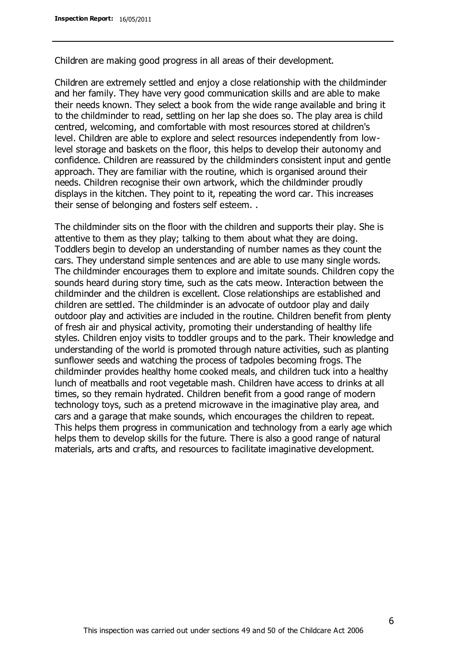Children are making good progress in all areas of their development.

Children are extremely settled and enjoy a close relationship with the childminder and her family. They have very good communication skills and are able to make their needs known. They select a book from the wide range available and bring it to the childminder to read, settling on her lap she does so. The play area is child centred, welcoming, and comfortable with most resources stored at children's level. Children are able to explore and select resources independently from lowlevel storage and baskets on the floor, this helps to develop their autonomy and confidence. Children are reassured by the childminders consistent input and gentle approach. They are familiar with the routine, which is organised around their needs. Children recognise their own artwork, which the childminder proudly displays in the kitchen. They point to it, repeating the word car. This increases their sense of belonging and fosters self esteem. .

The childminder sits on the floor with the children and supports their play. She is attentive to them as they play; talking to them about what they are doing. Toddlers begin to develop an understanding of number names as they count the cars. They understand simple sentences and are able to use many single words. The childminder encourages them to explore and imitate sounds. Children copy the sounds heard during story time, such as the cats meow. Interaction between the childminder and the children is excellent. Close relationships are established and children are settled. The childminder is an advocate of outdoor play and daily outdoor play and activities are included in the routine. Children benefit from plenty of fresh air and physical activity, promoting their understanding of healthy life styles. Children enjoy visits to toddler groups and to the park. Their knowledge and understanding of the world is promoted through nature activities, such as planting sunflower seeds and watching the process of tadpoles becoming frogs. The childminder provides healthy home cooked meals, and children tuck into a healthy lunch of meatballs and root vegetable mash. Children have access to drinks at all times, so they remain hydrated. Children benefit from a good range of modern technology toys, such as a pretend microwave in the imaginative play area, and cars and a garage that make sounds, which encourages the children to repeat. This helps them progress in communication and technology from a early age which helps them to develop skills for the future. There is also a good range of natural materials, arts and crafts, and resources to facilitate imaginative development.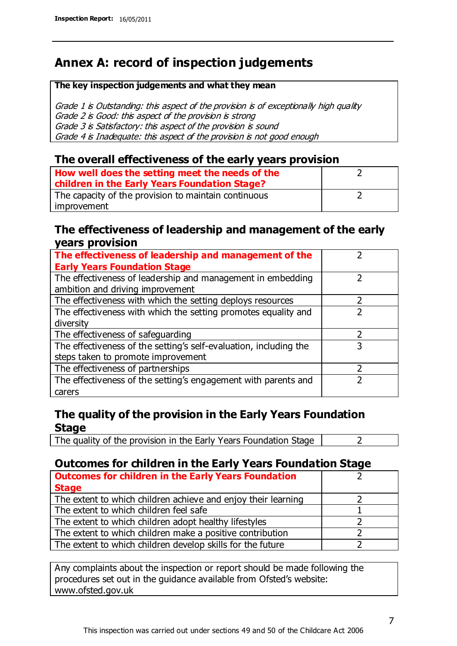# **Annex A: record of inspection judgements**

#### **The key inspection judgements and what they mean**

Grade 1 is Outstanding: this aspect of the provision is of exceptionally high quality Grade 2 is Good: this aspect of the provision is strong Grade 3 is Satisfactory: this aspect of the provision is sound Grade 4 is Inadequate: this aspect of the provision is not good enough

### **The overall effectiveness of the early years provision**

| How well does the setting meet the needs of the<br>children in the Early Years Foundation Stage? |  |
|--------------------------------------------------------------------------------------------------|--|
| The capacity of the provision to maintain continuous                                             |  |
| improvement                                                                                      |  |

### **The effectiveness of leadership and management of the early years provision**

| The effectiveness of leadership and management of the             |   |
|-------------------------------------------------------------------|---|
| <b>Early Years Foundation Stage</b>                               |   |
| The effectiveness of leadership and management in embedding       |   |
| ambition and driving improvement                                  |   |
| The effectiveness with which the setting deploys resources        |   |
| The effectiveness with which the setting promotes equality and    |   |
| diversity                                                         |   |
| The effectiveness of safeguarding                                 |   |
| The effectiveness of the setting's self-evaluation, including the | 3 |
| steps taken to promote improvement                                |   |
| The effectiveness of partnerships                                 |   |
| The effectiveness of the setting's engagement with parents and    |   |
| carers                                                            |   |

## **The quality of the provision in the Early Years Foundation Stage**

The quality of the provision in the Early Years Foundation Stage  $\vert$  2

## **Outcomes for children in the Early Years Foundation Stage**

| <b>Outcomes for children in the Early Years Foundation</b>    |  |
|---------------------------------------------------------------|--|
| <b>Stage</b>                                                  |  |
| The extent to which children achieve and enjoy their learning |  |
| The extent to which children feel safe                        |  |
| The extent to which children adopt healthy lifestyles         |  |
| The extent to which children make a positive contribution     |  |
| The extent to which children develop skills for the future    |  |

Any complaints about the inspection or report should be made following the procedures set out in the guidance available from Ofsted's website: www.ofsted.gov.uk